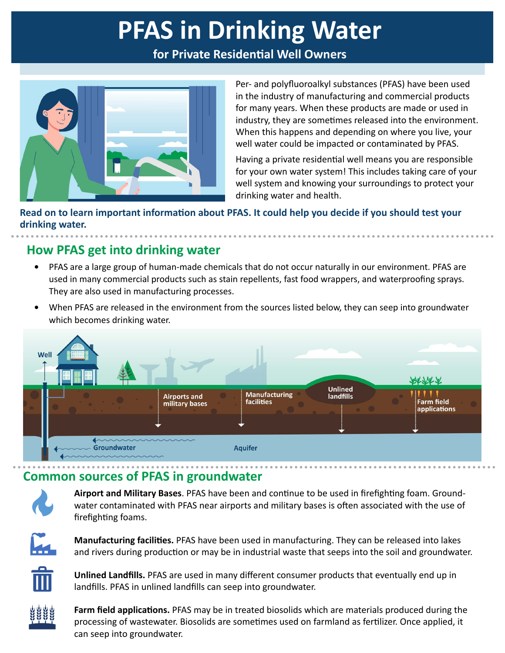# **PFAS in Drinking Water**

**for Private Residential Well Owners**



Per- and polyfluoroalkyl substances (PFAS) have been used in the industry of manufacturing and commercial products for many years. When these products are made or used in industry, they are sometimes released into the environment. When this happens and depending on where you live, your well water could be impacted or contaminated by PFAS.

Having a private residential well means you are responsible for your own water system! This includes taking care of your well system and knowing your surroundings to protect your drinking water and health.

**Read on to learn important information about PFAS. It could help you decide if you should test your drinking water.** 

## **How PFAS get into drinking water**

- **•** PFAS are a large group of human-made chemicals that do not occur naturally in our environment. PFAS are used in many commercial products such as stain repellents, fast food wrappers, and waterproofing sprays. They are also used in manufacturing processes.
- **•** When PFAS are released in the environment from the sources listed below, they can seep into groundwater which becomes drinking water.



## **Common sources of PFAS in groundwater**



**Airport and Military Bases**. PFAS have been and continue to be used in firefighting foam. Groundwater contaminated with PFAS near airports and military bases is often associated with the use of firefighting foams.



**Manufacturing facilities.** PFAS have been used in manufacturing. They can be released into lakes and rivers during production or may be in industrial waste that seeps into the soil and groundwater.



**Unlined Landfills.** PFAS are used in many different consumer products that eventually end up in landfills. PFAS in unlined landfills can seep into groundwater.



**Farm field applications.** PFAS may be in treated biosolids which are materials produced during the processing of wastewater. Biosolids are sometimes used on farmland as fertilizer. Once applied, it can seep into groundwater.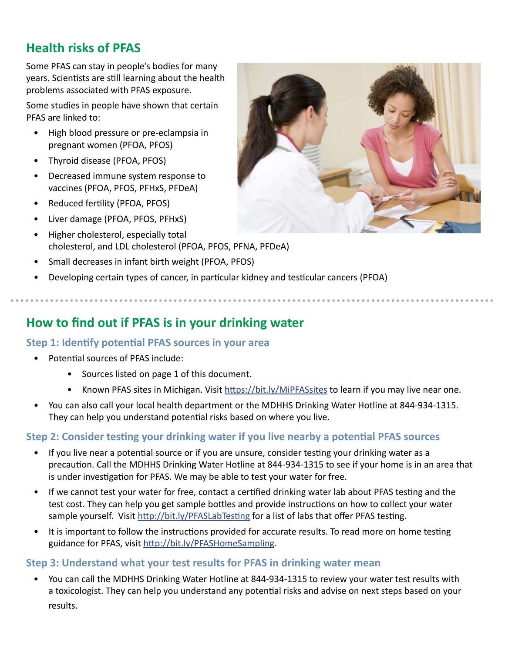## **Health risks of PFAS**

Some PFAS can stay in people's bodies for many years. Scientists are still learning about the health problems associated with PFAS exposure.

Some studies in people have shown that certain PFAS are linked to:

- High blood pressure or pre-eclampsia in pregnant women (PFOA, PFOS)
- Thyroid disease (PFOA, PFOS)
- Decreased immune system response to vaccines (PFOA, PFOS, PFHxS, PFDeA)
- Reduced fertility (PFOA, PFOS)
- Liver damage (PFOA, PFOS, PFHxS)
- Higher cholesterol, especially total cholesterol, and LDL cholesterol (PFOA, PFOS, PFNA, PFDeA)
- Small decreases in infant birth weight (PFOA, PFOS)
- Developing certain types of cancer, in particular kidney and testicular cancers (PFOA)

## **How to find out if PFAS is in your drinking water**

### **Step 1: Identify potential PFAS sources in your area**

- Potential sources of PFAS include:
	- Sources listed on page 1 of this document.
	- Known PFAS sites in Michigan. Visit https://bit.ly/MiPFASsites to learn if you may live near one.
- You can also call your local health department or the MDHHS Drinking Water Hotline at 844-934-1315. They can help you understand potential risks based on where you live.

### **Step 2: Consider testing your drinking water if you live nearby a potential PFAS sources**

- If you live near a potential source or if you are unsure, consider testing your drinking water as a precaution. Call the MDHHS Drinking Water Hotline at 844-934-1315 to see if your home is in an area that is under investigation for PFAS. We may be able to test your water for free.
- If we cannot test your water for free, contact a certified drinking water lab about PFAS testing and the test cost. They can help you get sample bottles and provide instructions on how to collect your water sample yourself. Visit http://bit.ly/PFASLabTesting for a list of labs that offer PFAS testing.
- It is important to follow the instructions provided for accurate results. To read more on home testing guidance for PFAS, visit http://bit.ly/PFASHomeSampling.

#### **Step 3: Understand what your test results for PFAS in drinking water mean**

• You can call the MDHHS Drinking Water Hotline at 844-934-1315 to review your water test results with a toxicologist. They can help you understand any potential risks and advise on next steps based on your results.